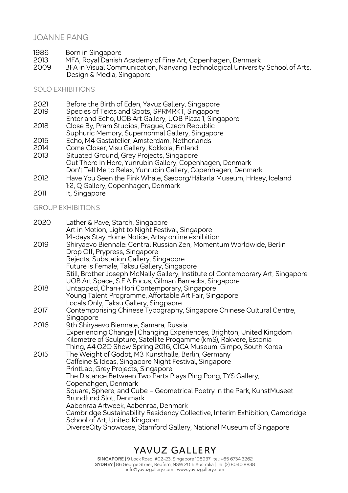## JOANNE PANG

- 1986 Born in Singapore<br>2013 MFA, Royal Danish
- 2013 MFA, Royal Danish Academy of Fine Art, Copenhagen, Denmark<br>2009 BFA in Visual Communication. Nanyang Technological University
- 2009 BFA in Visual Communication, Nanyang Technological University School of Arts, Design & Media, Singapore

## SOLO EXHIBITIONS

| 2021 | Before the Birth of Eden, Yavuz Gallery, Singapore                   |
|------|----------------------------------------------------------------------|
| 2019 | Species of Texts and Spots, SPRMRKT, Singapore                       |
|      | Enter and Echo, UOB Art Gallery, UOB Plaza 1, Singapore              |
| 2018 | Close By, Pram Studios, Prague, Czech Republic                       |
|      | Suphuric Memory, Supernormal Gallery, Singapore                      |
| 2015 | Echo, M4 Gastatelier, Amsterdam, Netherlands                         |
| 2014 | Come Closer, Visu Gallery, Kokkola, Finland                          |
| 2013 | Situated Ground, Grey Projects, Singapore                            |
|      | Out There In Here, Yunrubin Gallery, Copenhagen, Denmark             |
|      | Don't Tell Me to Relax, Yunrubin Gallery, Copenhagen, Denmark        |
| 2012 | Have You Seen the Pink Whale, Sæborg/Hákarla Museum, Hrísey, Iceland |
|      | 1:2, Q Gallery, Copenhagen, Denmark                                  |

2011 It, Singapore

## GROUP EXHIBITIONS

| 2020 | Lather & Pave, Starch, Singapore<br>Art in Motion, Light to Night Festival, Singapore                                                     |
|------|-------------------------------------------------------------------------------------------------------------------------------------------|
|      | 14-days Stay Home Notice, Artsy online exhibition                                                                                         |
| 2019 | Shiryaevo Biennale: Central Russian Zen, Momentum Worldwide, Berlin<br>Drop Off, Prypress, Singapore                                      |
|      | Rejects, Substation Gallery, Singapore                                                                                                    |
|      | Future is Female, Taksu Gallery, Singapore                                                                                                |
|      | Still, Brother Joseph McNally Gallery, Institute of Contemporary Art, Singapore<br>UOB Art Space, S.E.A Focus, Gilman Barracks, Singapore |
| 2018 | Untapped, Chan+Hori Contemporary, Singapore                                                                                               |
|      | Young Talent Programme, Affortable Art Fair, Singapore                                                                                    |
|      | Locals Only, Taksu Gallery, Singpaore                                                                                                     |
| 2017 | Contemporising Chinese Typography, Singapore Chinese Cultural Centre,                                                                     |
| 2016 | Singapore<br>9th Shiryaevo Biennale, Samara, Russia                                                                                       |
|      | Experiencing Change   Changing Experiences, Brighton, United Kingdom                                                                      |
|      | Kilometre of Sculpture, Satellite Progamme (kmS), Rakvere, Estonia                                                                        |
|      | Thing, A4 O2O Show Spring 2016, CICA Museum, Gimpo, South Korea                                                                           |
| 2015 | The Weight of Godot, M3 Kunsthalle, Berlin, Germany                                                                                       |
|      | Caffeine & Ideas, Singapore Night Festival, Singapore                                                                                     |
|      | PrintLab, Grey Projects, Singapore                                                                                                        |
|      | The Distance Between Two Parts Plays Ping Pong, TYS Gallery,                                                                              |
|      | Copenahgen, Denmark                                                                                                                       |
|      | Square, Sphere, and Cube - Geometrical Poetry in the Park, KunstMuseet<br>Brundlund Slot, Denmark                                         |
|      | Aabenraa Artweek, Aabenraa, Denmark                                                                                                       |
|      | Cambridge Sustainability Residency Collective, Interim Exhibition, Cambridge<br>School of Art, United Kingdom                             |
|      | DiverseCity Showcase, Stamford Gallery, National Museum of Singapore                                                                      |

YAVUZ GALLERY